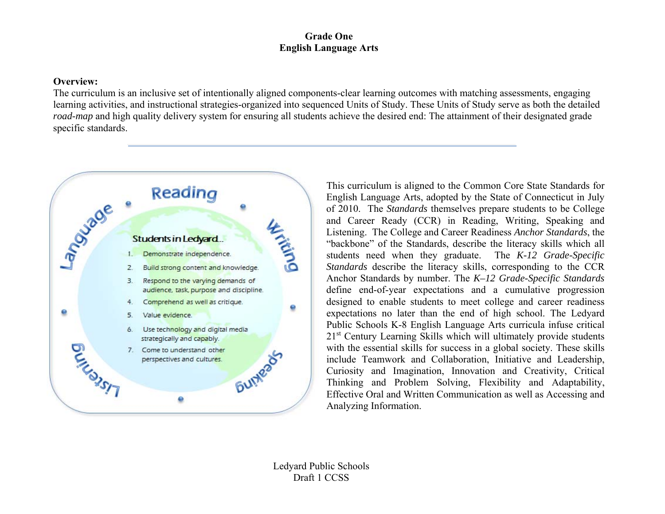#### **Overview:**

The curriculum is an inclusive set of intentionally aligned components-clear learning outcomes with matching assessments, engaging learning activities, and instructional strategies-organized into sequenced Units of Study. These Units of Study serve as both the detailed *road-map* and high quality delivery system for ensuring all students achieve the desired end: The attainment of their designated grade specific standards.



This curriculum is aligned to the Common Core State Standards for English Language Arts, adopted by the State of Connecticut in July of 2010. The *Standards* themselves prepare students to be College and Career Ready (CCR) in Reading, Writing, Speaking and Listening. The College and Career Readiness *Anchor Standards*, the "backbone" of the Standards, describe the literacy skills which all students need when they graduate. The *K-12 Grade-Specific Standards* describe the literacy skills, corresponding to the CCR Anchor Standards by number. The *K–12 Grade-Specific Standards* define end-of-year expectations and a cumulative progression designed to enable students to meet college and career readiness expectations no later than the end of high school. The Ledyard Public Schools K-8 English Language Arts curricula infuse critical 21<sup>st</sup> Century Learning Skills which will ultimately provide students with the essential skills for success in a global society. These skills include Teamwork and Collaboration, Initiative and Leadership, Curiosity and Imagination, Innovation and Creativity, Critical Thinking and Problem Solving, Flexibility and Adaptability, Effective Oral and Written Communication as well as Accessing and Analyzing Information.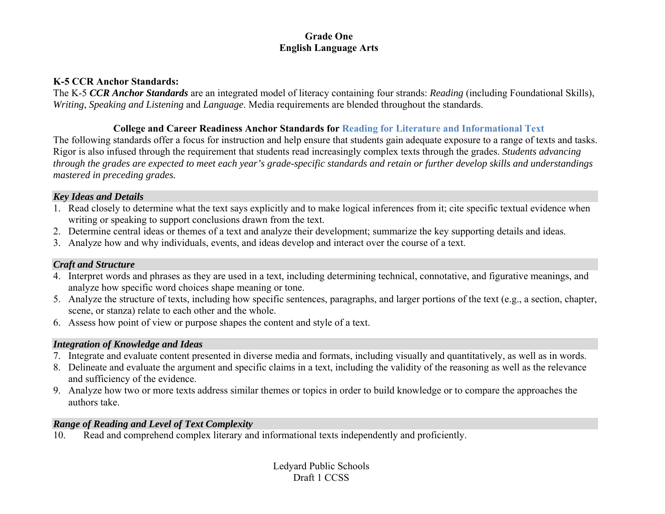#### **K-5 CCR Anchor Standards:**

The K-5 *CCR Anchor Standards* are an integrated model of literacy containing four strands: *Reading* (including Foundational Skills), *Writing*, *Speaking and Listening* and *Language*. Media requirements are blended throughout the standards.

# **College and Career Readiness Anchor Standards for Reading for Literature and Informational Text**

The following standards offer a focus for instruction and help ensure that students gain adequate exposure to a range of texts and tasks. Rigor is also infused through the requirement that students read increasingly complex texts through the grades. *Students advancing through the grades are expected to meet each year's grade-specific standards and retain or further develop skills and understandings mastered in preceding grades.* 

#### *Key Ideas and Details*

- 1. Read closely to determine what the text says explicitly and to make logical inferences from it; cite specific textual evidence when writing or speaking to support conclusions drawn from the text.
- 2. Determine central ideas or themes of a text and analyze their development; summarize the key supporting details and ideas.
- 3. Analyze how and why individuals, events, and ideas develop and interact over the course of a text.

# *Craft and Structure*

- 4. Interpret words and phrases as they are used in a text, including determining technical, connotative, and figurative meanings, and analyze how specific word choices shape meaning or tone.
- 5. Analyze the structure of texts, including how specific sentences, paragraphs, and larger portions of the text (e.g., a section, chapter, scene, or stanza) relate to each other and the whole.
- 6. Assess how point of view or purpose shapes the content and style of a text.

# *Integration of Knowledge and Ideas*

- 7. Integrate and evaluate content presented in diverse media and formats, including visually and quantitatively, as well as in words.
- 8. Delineate and evaluate the argument and specific claims in a text, including the validity of the reasoning as well as the relevance and sufficiency of the evidence.
- 9. Analyze how two or more texts address similar themes or topics in order to build knowledge or to compare the approaches the authors take.

# *Range of Reading and Level of Text Complexity*

10.Read and comprehend complex literary and informational texts independently and proficiently.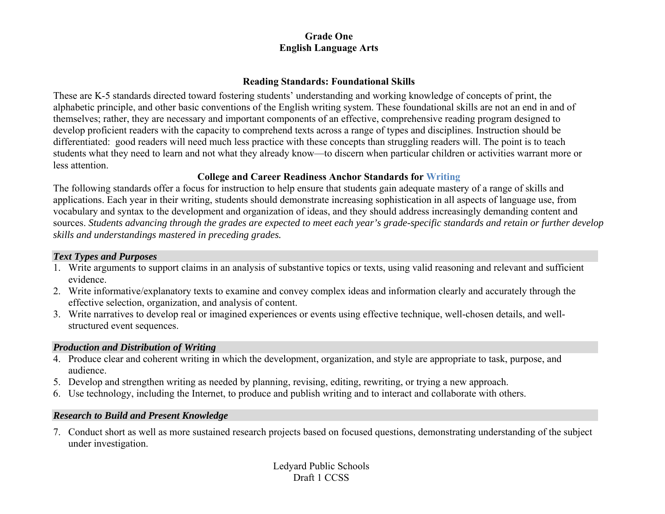#### **Reading Standards: Foundational Skills**

These are K-5 standards directed toward fostering students' understanding and working knowledge of concepts of print, the alphabetic principle, and other basic conventions of the English writing system. These foundational skills are not an end in and of themselves; rather, they are necessary and important components of an effective, comprehensive reading program designed to develop proficient readers with the capacity to comprehend texts across a range of types and disciplines. Instruction should be differentiated: good readers will need much less practice with these concepts than struggling readers will. The point is to teach students what they need to learn and not what they already know—to discern when particular children or activities warrant more or less attention.

# **College and Career Readiness Anchor Standards for Writing**

The following standards offer a focus for instruction to help ensure that students gain adequate mastery of a range of skills and applications. Each year in their writing, students should demonstrate increasing sophistication in all aspects of language use, from vocabulary and syntax to the development and organization of ideas, and they should address increasingly demanding content and sources. *Students advancing through the grades are expected to meet each year's grade-specific standards and retain or further develop skills and understandings mastered in preceding grades.*

#### *Text Types and Purposes*

- 1. Write arguments to support claims in an analysis of substantive topics or texts, using valid reasoning and relevant and sufficient evidence.
- 2. Write informative/explanatory texts to examine and convey complex ideas and information clearly and accurately through the effective selection, organization, and analysis of content.
- 3. Write narratives to develop real or imagined experiences or events using effective technique, well-chosen details, and wellstructured event sequences.

# *Production and Distribution of Writing*

- 4. Produce clear and coherent writing in which the development, organization, and style are appropriate to task, purpose, and audience.
- 5. Develop and strengthen writing as needed by planning, revising, editing, rewriting, or trying a new approach.
- 6. Use technology, including the Internet, to produce and publish writing and to interact and collaborate with others.

# *Research to Build and Present Knowledge*

7. Conduct short as well as more sustained research projects based on focused questions, demonstrating understanding of the subject under investigation.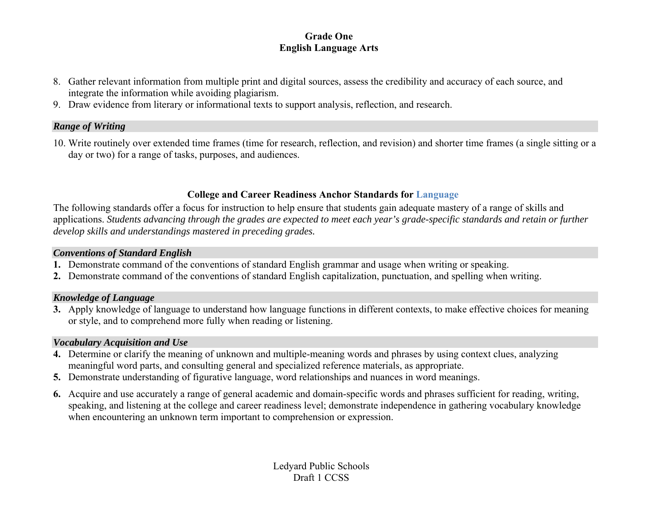- 8. Gather relevant information from multiple print and digital sources, assess the credibility and accuracy of each source, and integrate the information while avoiding plagiarism.
- 9. Draw evidence from literary or informational texts to support analysis, reflection, and research.

#### *Range of Writing*

10. Write routinely over extended time frames (time for research, reflection, and revision) and shorter time frames (a single sitting or a day or two) for a range of tasks, purposes, and audiences.

# **College and Career Readiness Anchor Standards for Language**

The following standards offer a focus for instruction to help ensure that students gain adequate mastery of a range of skills and applications. *Students advancing through the grades are expected to meet each year's grade-specific standards and retain or further develop skills and understandings mastered in preceding grades.*

#### *Conventions of Standard English*

- **1.** Demonstrate command of the conventions of standard English grammar and usage when writing or speaking.
- **2.** Demonstrate command of the conventions of standard English capitalization, punctuation, and spelling when writing.

# *Knowledge of Language*

**3.** Apply knowledge of language to understand how language functions in different contexts, to make effective choices for meaning or style, and to comprehend more fully when reading or listening.

# *Vocabulary Acquisition and Use*

- **4.** Determine or clarify the meaning of unknown and multiple-meaning words and phrases by using context clues, analyzing meaningful word parts, and consulting general and specialized reference materials, as appropriate.
- **5.** Demonstrate understanding of figurative language, word relationships and nuances in word meanings.
- **6.** Acquire and use accurately a range of general academic and domain-specific words and phrases sufficient for reading, writing, speaking, and listening at the college and career readiness level; demonstrate independence in gathering vocabulary knowledge when encountering an unknown term important to comprehension or expression.